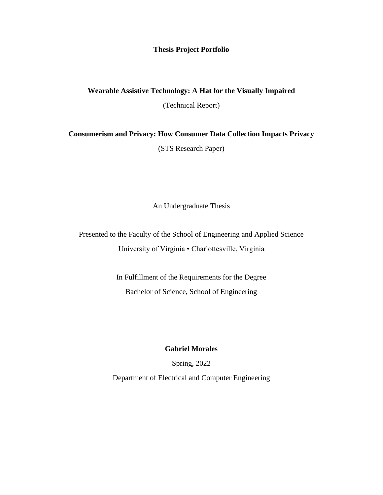## **Thesis Project Portfolio**

## **Wearable Assistive Technology: A Hat for the Visually Impaired**

(Technical Report)

**Consumerism and Privacy: How Consumer Data Collection Impacts Privacy**

(STS Research Paper)

An Undergraduate Thesis

Presented to the Faculty of the School of Engineering and Applied Science University of Virginia • Charlottesville, Virginia

> In Fulfillment of the Requirements for the Degree Bachelor of Science, School of Engineering

> > **Gabriel Morales**

Spring, 2022

Department of Electrical and Computer Engineering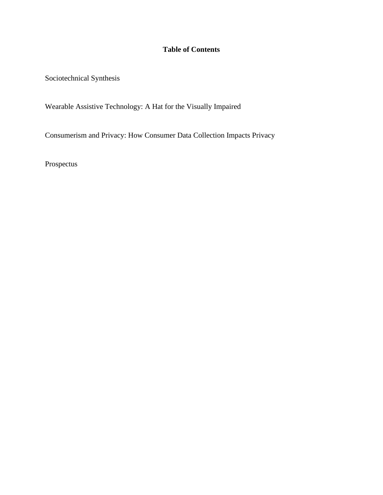## **Table of Contents**

Sociotechnical Synthesis

Wearable Assistive Technology: A Hat for the Visually Impaired

Consumerism and Privacy: How Consumer Data Collection Impacts Privacy

Prospectus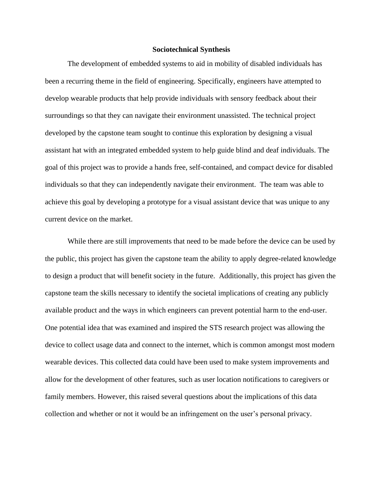## **Sociotechnical Synthesis**

The development of embedded systems to aid in mobility of disabled individuals has been a recurring theme in the field of engineering. Specifically, engineers have attempted to develop wearable products that help provide individuals with sensory feedback about their surroundings so that they can navigate their environment unassisted. The technical project developed by the capstone team sought to continue this exploration by designing a visual assistant hat with an integrated embedded system to help guide blind and deaf individuals. The goal of this project was to provide a hands free, self-contained, and compact device for disabled individuals so that they can independently navigate their environment. The team was able to achieve this goal by developing a prototype for a visual assistant device that was unique to any current device on the market.

While there are still improvements that need to be made before the device can be used by the public, this project has given the capstone team the ability to apply degree-related knowledge to design a product that will benefit society in the future. Additionally, this project has given the capstone team the skills necessary to identify the societal implications of creating any publicly available product and the ways in which engineers can prevent potential harm to the end-user. One potential idea that was examined and inspired the STS research project was allowing the device to collect usage data and connect to the internet, which is common amongst most modern wearable devices. This collected data could have been used to make system improvements and allow for the development of other features, such as user location notifications to caregivers or family members. However, this raised several questions about the implications of this data collection and whether or not it would be an infringement on the user's personal privacy.